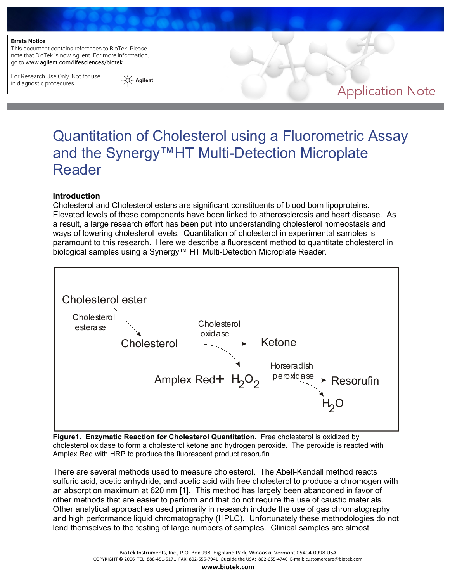This document contains references to BioTek. Please note that BioTek is now Agilent. For more information, go to www.agilent.com/lifesciences/biotek.

For Research Use Only. Not for use in diagnostic procedures.



# Quantitation of Cholesterol using a Fluorometric Assay and the Synergy™HT Multi-Detection Microplate Reader

#### **Introduction**

Cholesterol and Cholesterol esters are significant constituents of blood born lipoproteins. Elevated levels of these components have been linked to atherosclerosis and heart disease. As a result, a large research effort has been put into understanding cholesterol homeostasis and ways of lowering cholesterol levels. Quantitation of cholesterol in experimental samples is paramount to this research. Here we describe a fluorescent method to quantitate cholesterol in biological samples using a Synergy™ HT Multi-Detection Microplate Reader.



**Figure1. Enzymatic Reaction for Cholesterol Quantitation.** Free cholesterol is oxidized by cholesterol oxidase to form a cholesterol ketone and hydrogen peroxide. The peroxide is reacted with Amplex Red with HRP to produce the fluorescent product resorufin.

There are several methods used to measure cholesterol. The Abell-Kendall method reacts sulfuric acid, acetic anhydride, and acetic acid with free cholesterol to produce a chromogen with an absorption maximum at 620 nm [1]. This method has largely been abandoned in favor of other methods that are easier to perform and that do not require the use of caustic materials. Other analytical approaches used primarily in research include the use of gas chromatography and high performance liquid chromatography (HPLC). Unfortunately these methodologies do not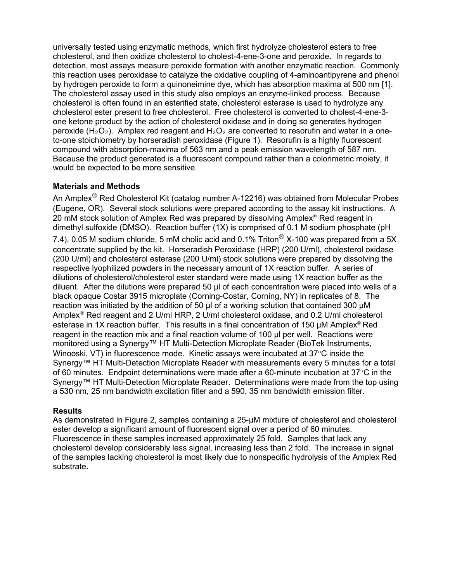universally tested using enzymatic methods, which first hydrolyze cholesterol esters to free cholesterol, and then oxidize cholesterol to cholest-4-ene-3-one and peroxide. In regards to detection, most assays measure peroxide formation with another enzymatic reaction. Commonly this reaction uses peroxidase to catalyze the oxidative coupling of 4-aminoantipyrene and phenol by hydrogen peroxide to form a quinoneimine dye, which has absorption maxima at 500 nm [1]. The cholesterol assay used in this study also employs an enzyme-linked process. Because cholesterol is often found in an esterified state, cholesterol esterase is used to hydrolyze any cholesterol ester present to free cholesterol. Free cholesterol is converted to cholest-4-ene-3 one ketone product by the action of cholesterol oxidase and in doing so generates hydrogen peroxide  $(H_2O_2)$ . Amplex red reagent and  $H_2O_2$  are converted to resorufin and water in a oneto-one stoichiometry by horseradish peroxidase (Figure 1). Resorufin is a highly fluorescent compound with absorption-maxima of 563 nm and a peak emission wavelength of 587 nm. Because the product generated is a fluorescent compound rather than a colorimetric moiety, it would be expected to be more sensitive.

# **Materials and Methods**

An Amplex<sup>®</sup> Red Cholesterol Kit (catalog number A-12216) was obtained from Molecular Probes (Eugene, OR). Several stock solutions were prepared according to the assay kit instructions. A 20 mM stock solution of Amplex Red was prepared by dissolving Amplex<sup>®</sup> Red reagent in dimethyl sulfoxide (DMSO). Reaction buffer (1X) is comprised of 0.1 M sodium phosphate (pH 7.4), 0.05 M sodium chloride, 5 mM cholic acid and 0.1% Triton  $^{\circledR}$  X-100 was prepared from a 5X concentrate supplied by the kit. Horseradish Peroxidase (HRP) (200 U/ml), cholesterol oxidase (200 U/ml) and cholesterol esterase (200 U/ml) stock solutions were prepared by dissolving the respective lyophilized powders in the necessary amount of 1X reaction buffer. A series of dilutions of cholesterol/cholesterol ester standard were made using 1X reaction buffer as the diluent. After the dilutions were prepared 50 µl of each concentration were placed into wells of a black opaque Costar 3915 microplate (Corning-Costar, Corning, NY) in replicates of 8. The reaction was initiated by the addition of 50  $\mu$  of a working solution that contained 300  $\mu$ M Amplex<sup>®</sup> Red reagent and 2 U/ml HRP, 2 U/ml cholesterol oxidase, and 0.2 U/ml cholesterol esterase in 1X reaction buffer. This results in a final concentration of 150  $\mu$ M Amplex<sup>®</sup> Red reagent in the reaction mix and a final reaction volume of 100 µl per well. Reactions were monitored using a Synergy™ HT Multi-Detection Microplate Reader (BioTek Instruments, Winooski, VT) in fluorescence mode. Kinetic assays were incubated at 37°C inside the Synergy™ HT Multi-Detection Microplate Reader with measurements every 5 minutes for a total of 60 minutes. Endpoint determinations were made after a 60-minute incubation at 37°C in the Synergy™ HT Multi-Detection Microplate Reader. Determinations were made from the top using a 530 nm, 25 nm bandwidth excitation filter and a 590, 35 nm bandwidth emission filter.

# **Results**

As demonstrated in Figure 2, samples containing a 25-µM mixture of cholesterol and cholesterol ester develop a significant amount of fluorescent signal over a period of 60 minutes. Fluorescence in these samples increased approximately 25 fold. Samples that lack any cholesterol develop considerably less signal, increasing less than 2 fold. The increase in signal of the samples lacking cholesterol is most likely due to nonspecific hydrolysis of the Amplex Red substrate.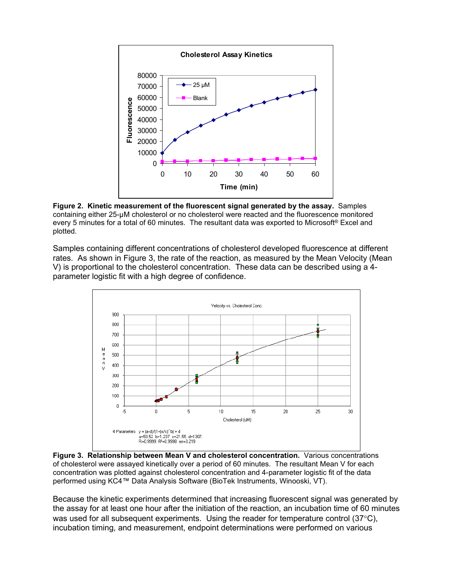

**Figure 2. Kinetic measurement of the fluorescent signal generated by the assay.** Samples containing either 25-µM cholesterol or no cholesterol were reacted and the fluorescence monitored every 5 minutes for a total of 60 minutes. The resultant data was exported to Microsoft® Excel and plotted.

Samples containing different concentrations of cholesterol developed fluorescence at different rates. As shown in Figure 3, the rate of the reaction, as measured by the Mean Velocity (Mean V) is proportional to the cholesterol concentration. These data can be described using a 4 parameter logistic fit with a high degree of confidence.



**Figure 3. Relationship between Mean V and cholesterol concentration.** Various concentrations of cholesterol were assayed kinetically over a period of 60 minutes. The resultant Mean V for each concentration was plotted against cholesterol concentration and 4-parameter logistic fit of the data performed using KC4™ Data Analysis Software (BioTek Instruments, Winooski, VT).

Because the kinetic experiments determined that increasing fluorescent signal was generated by the assay for at least one hour after the initiation of the reaction, an incubation time of 60 minutes was used for all subsequent experiments. Using the reader for temperature control ( $37^{\circ}$ C), incubation timing, and measurement, endpoint determinations were performed on various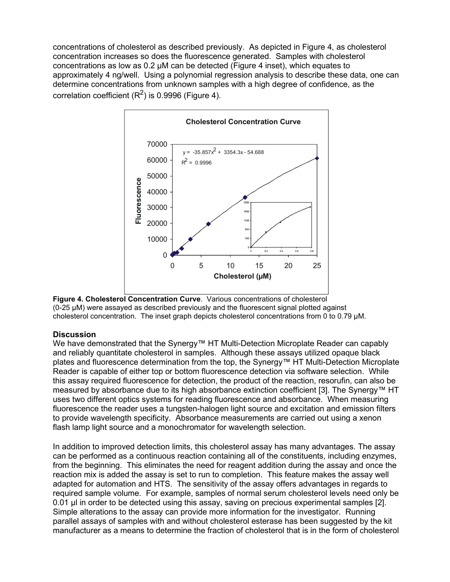concentrations of cholesterol as described previously. As depicted in Figure 4, as cholesterol concentration increases so does the fluorescence generated. Samples with cholesterol concentrations as low as 0.2 µM can be detected (Figure 4 inset), which equates to approximately 4 ng/well. Using a polynomial regression analysis to describe these data, one can determine concentrations from unknown samples with a high degree of confidence, as the correlation coefficient  $(R^2)$  is 0.9996 (Figure 4).





### **Discussion**

We have demonstrated that the Synergy™ HT Multi-Detection Microplate Reader can capably and reliably quantitate cholesterol in samples. Although these assays utilized opaque black plates and fluorescence determination from the top, the Synergy™ HT Multi-Detection Microplate Reader is capable of either top or bottom fluorescence detection via software selection. While this assay required fluorescence for detection, the product of the reaction, resorufin, can also be measured by absorbance due to its high absorbance extinction coefficient [3]. The Synergy™ HT uses two different optics systems for reading fluorescence and absorbance. When measuring fluorescence the reader uses a tungsten-halogen light source and excitation and emission filters to provide wavelength specificity. Absorbance measurements are carried out using a xenon flash lamp light source and a monochromator for wavelength selection.

In addition to improved detection limits, this cholesterol assay has many advantages. The assay can be performed as a continuous reaction containing all of the constituents, including enzymes, from the beginning. This eliminates the need for reagent addition during the assay and once the reaction mix is added the assay is set to run to completion. This feature makes the assay well adapted for automation and HTS. The sensitivity of the assay offers advantages in regards to required sample volume. For example, samples of normal serum cholesterol levels need only be 0.01 µl in order to be detected using this assay, saving on precious experimental samples [2]. Simple alterations to the assay can provide more information for the investigator. Running parallel assays of samples with and without cholesterol esterase has been suggested by the kit manufacturer as a means to determine the fraction of cholesterol that is in the form of cholesterol